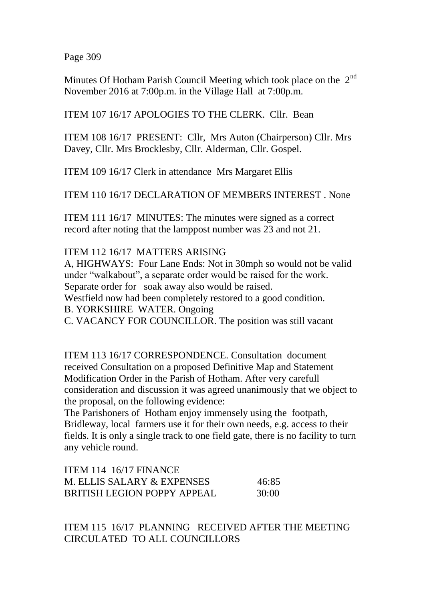Page 309

Minutes Of Hotham Parish Council Meeting which took place on the 2<sup>nd</sup> November 2016 at 7:00p.m. in the Village Hall at 7:00p.m.

ITEM 107 16/17 APOLOGIES TO THE CLERK. Cllr. Bean

ITEM 108 16/17 PRESENT: Cllr, Mrs Auton (Chairperson) Cllr. Mrs Davey, Cllr. Mrs Brocklesby, Cllr. Alderman, Cllr. Gospel.

ITEM 109 16/17 Clerk in attendance Mrs Margaret Ellis

ITEM 110 16/17 DECLARATION OF MEMBERS INTEREST . None

ITEM 111 16/17 MINUTES: The minutes were signed as a correct record after noting that the lamppost number was 23 and not 21.

ITEM 112 16/17 MATTERS ARISING

A, HIGHWAYS: Four Lane Ends: Not in 30mph so would not be valid under "walkabout", a separate order would be raised for the work. Separate order for soak away also would be raised.

Westfield now had been completely restored to a good condition.

B. YORKSHIRE WATER. Ongoing

C. VACANCY FOR COUNCILLOR. The position was still vacant

ITEM 113 16/17 CORRESPONDENCE. Consultation document received Consultation on a proposed Definitive Map and Statement Modification Order in the Parish of Hotham. After very carefull consideration and discussion it was agreed unanimously that we object to the proposal, on the following evidence:

The Parishoners of Hotham enjoy immensely using the footpath, Bridleway, local farmers use it for their own needs, e.g. access to their fields. It is only a single track to one field gate, there is no facility to turn any vehicle round.

| <b>ITEM 114 16/17 FINANCE</b>      |       |
|------------------------------------|-------|
| M. ELLIS SALARY & EXPENSES         | 46:85 |
| <b>BRITISH LEGION POPPY APPEAL</b> | 30:00 |

ITEM 115 16/17 PLANNING RECEIVED AFTER THE MEETING CIRCULATED TO ALL COUNCILLORS